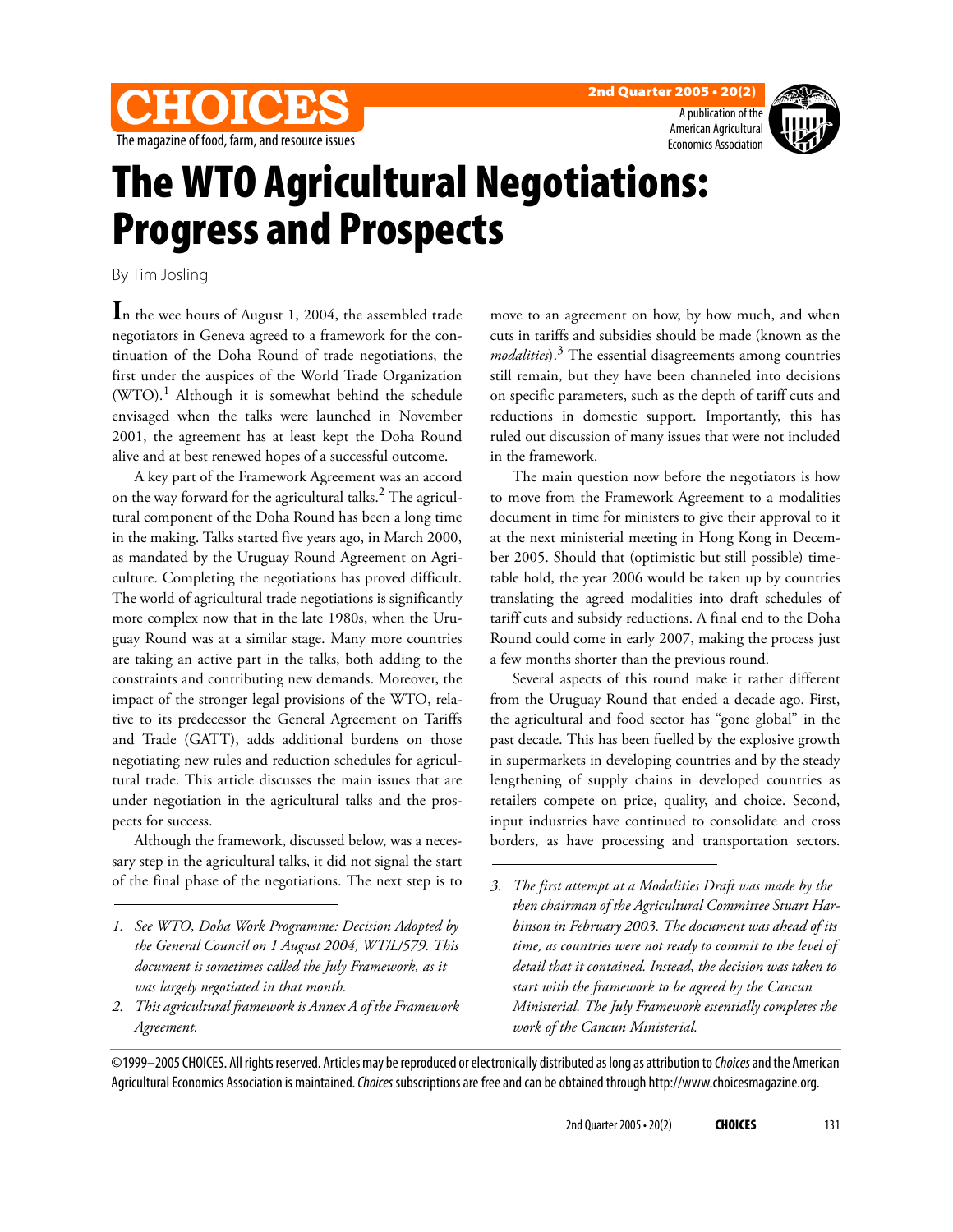





## The WTO Agricultural Negotiations: Progress and Prospects

By Tim Josling

**I**n the wee hours of August 1, 2004, the assembled trade negotiators in Geneva agreed to a framework for the continuation of the Doha Round of trade negotiations, the first under the auspices of the World Trade Organization  $(WTO).<sup>1</sup>$  Although it is somewhat behind the schedule envisaged when the talks were launched in November 2001, the agreement has at least kept the Doha Round alive and at best renewed hopes of a successful outcome.

A key part of the Framework Agreement was an accord on the way forward for the agricultural talks. $^2$  The agricultural component of the Doha Round has been a long time in the making. Talks started five years ago, in March 2000, as mandated by the Uruguay Round Agreement on Agriculture. Completing the negotiations has proved difficult. The world of agricultural trade negotiations is significantly more complex now that in the late 1980s, when the Uruguay Round was at a similar stage. Many more countries are taking an active part in the talks, both adding to the constraints and contributing new demands. Moreover, the impact of the stronger legal provisions of the WTO, relative to its predecessor the General Agreement on Tariffs and Trade (GATT), adds additional burdens on those negotiating new rules and reduction schedules for agricultural trade. This article discusses the main issues that are under negotiation in the agricultural talks and the prospects for success.

Although the framework, discussed below, was a necessary step in the agricultural talks, it did not signal the start of the final phase of the negotiations. The next step is to move to an agreement on how, by how much, and when cuts in tariffs and subsidies should be made (known as the *modalities*).<sup>3</sup> The essential disagreements among countries still remain, but they have been channeled into decisions on specific parameters, such as the depth of tariff cuts and reductions in domestic support. Importantly, this has ruled out discussion of many issues that were not included in the framework.

The main question now before the negotiators is how to move from the Framework Agreement to a modalities document in time for ministers to give their approval to it at the next ministerial meeting in Hong Kong in December 2005. Should that (optimistic but still possible) timetable hold, the year 2006 would be taken up by countries translating the agreed modalities into draft schedules of tariff cuts and subsidy reductions. A final end to the Doha Round could come in early 2007, making the process just a few months shorter than the previous round.

Several aspects of this round make it rather different from the Uruguay Round that ended a decade ago. First, the agricultural and food sector has "gone global" in the past decade. This has been fuelled by the explosive growth in supermarkets in developing countries and by the steady lengthening of supply chains in developed countries as retailers compete on price, quality, and choice. Second, input industries have continued to consolidate and cross borders, as have processing and transportation sectors.

©1999–2005 CHOICES. All rights reserved. Articles may be reproduced or electronically distributed as long as attribution to Choices and the American Agricultural Economics Association is maintained. Choices subscriptions are free and can be obtained through http://www.choicesmagazine.org.

*<sup>1.</sup> See WTO, Doha Work Programme: Decision Adopted by the General Council on 1 August 2004, WT/L/579. This document is sometimes called the July Framework, as it was largely negotiated in that month.*

*<sup>2.</sup> This agricultural framework is Annex A of the Framework Agreement.*

*<sup>3.</sup> The first attempt at a Modalities Draft was made by the then chairman of the Agricultural Committee Stuart Harbinson in February 2003. The document was ahead of its time, as countries were not ready to commit to the level of detail that it contained. Instead, the decision was taken to start with the framework to be agreed by the Cancun Ministerial. The July Framework essentially completes the work of the Cancun Ministerial.*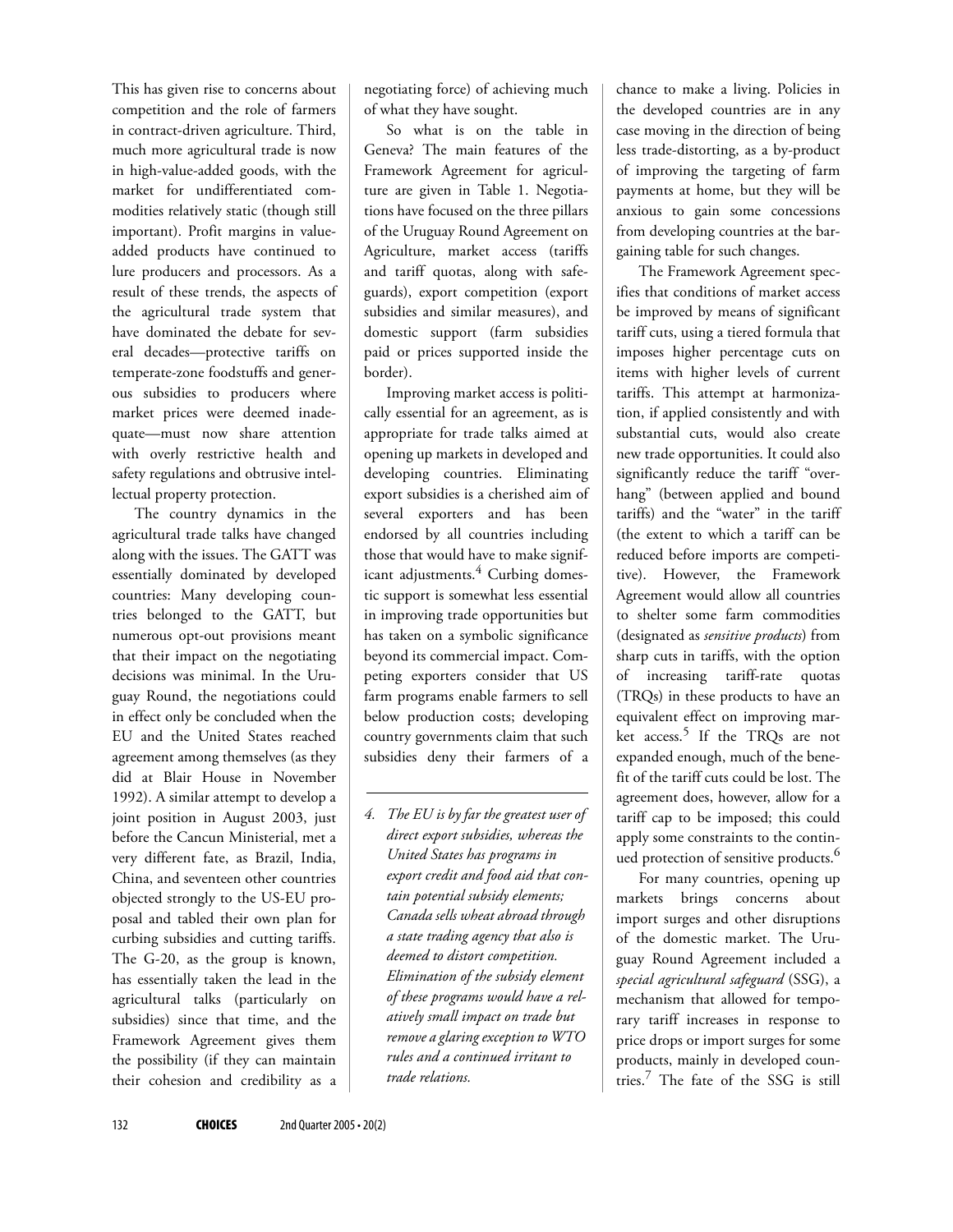This has given rise to concerns about competition and the role of farmers in contract-driven agriculture. Third, much more agricultural trade is now in high-value-added goods, with the market for undifferentiated commodities relatively static (though still important). Profit margins in valueadded products have continued to lure producers and processors. As a result of these trends, the aspects of the agricultural trade system that have dominated the debate for several decades—protective tariffs on temperate-zone foodstuffs and generous subsidies to producers where market prices were deemed inadequate—must now share attention with overly restrictive health and safety regulations and obtrusive intellectual property protection.

The country dynamics in the agricultural trade talks have changed along with the issues. The GATT was essentially dominated by developed countries: Many developing countries belonged to the GATT, but numerous opt-out provisions meant that their impact on the negotiating decisions was minimal. In the Uruguay Round, the negotiations could in effect only be concluded when the EU and the United States reached agreement among themselves (as they did at Blair House in November 1992). A similar attempt to develop a joint position in August 2003, just before the Cancun Ministerial, met a very different fate, as Brazil, India, China, and seventeen other countries objected strongly to the US-EU proposal and tabled their own plan for curbing subsidies and cutting tariffs. The G-20, as the group is known, has essentially taken the lead in the agricultural talks (particularly on subsidies) since that time, and the Framework Agreement gives them the possibility (if they can maintain their cohesion and credibility as a

negotiating force) of achieving much of what they have sought.

So what is on the table in Geneva? The main features of the Framework Agreement for agriculture are given in Table 1. Negotiations have focused on the three pillars of the Uruguay Round Agreement on Agriculture, market access (tariffs and tariff quotas, along with safeguards), export competition (export subsidies and similar measures), and domestic support (farm subsidies paid or prices supported inside the border).

Improving market access is politically essential for an agreement, as is appropriate for trade talks aimed at opening up markets in developed and developing countries. Eliminating export subsidies is a cherished aim of several exporters and has been endorsed by all countries including those that would have to make significant adjustments.<sup>4</sup> Curbing domestic support is somewhat less essential in improving trade opportunities but has taken on a symbolic significance beyond its commercial impact. Competing exporters consider that US farm programs enable farmers to sell below production costs; developing country governments claim that such subsidies deny their farmers of a

*4. The EU is by far the greatest user of direct export subsidies, whereas the United States has programs in export credit and food aid that contain potential subsidy elements; Canada sells wheat abroad through a state trading agency that also is deemed to distort competition. Elimination of the subsidy element of these programs would have a relatively small impact on trade but remove a glaring exception to WTO rules and a continued irritant to trade relations.*

chance to make a living. Policies in the developed countries are in any case moving in the direction of being less trade-distorting, as a by-product of improving the targeting of farm payments at home, but they will be anxious to gain some concessions from developing countries at the bargaining table for such changes.

The Framework Agreement specifies that conditions of market access be improved by means of significant tariff cuts, using a tiered formula that imposes higher percentage cuts on items with higher levels of current tariffs. This attempt at harmonization, if applied consistently and with substantial cuts, would also create new trade opportunities. It could also significantly reduce the tariff "overhang" (between applied and bound tariffs) and the "water" in the tariff (the extent to which a tariff can be reduced before imports are competitive). However, the Framework Agreement would allow all countries to shelter some farm commodities (designated as *sensitive products*) from sharp cuts in tariffs, with the option of increasing tariff-rate quotas (TRQs) in these products to have an equivalent effect on improving market access.<sup>5</sup> If the TRQs are not expanded enough, much of the benefit of the tariff cuts could be lost. The agreement does, however, allow for a tariff cap to be imposed; this could apply some constraints to the continued protection of sensitive products.<sup>6</sup>

For many countries, opening up markets brings concerns about import surges and other disruptions of the domestic market. The Uruguay Round Agreement included a *special agricultural safeguard* (SSG), a mechanism that allowed for temporary tariff increases in response to price drops or import surges for some products, mainly in developed countries.<sup>7</sup> The fate of the SSG is still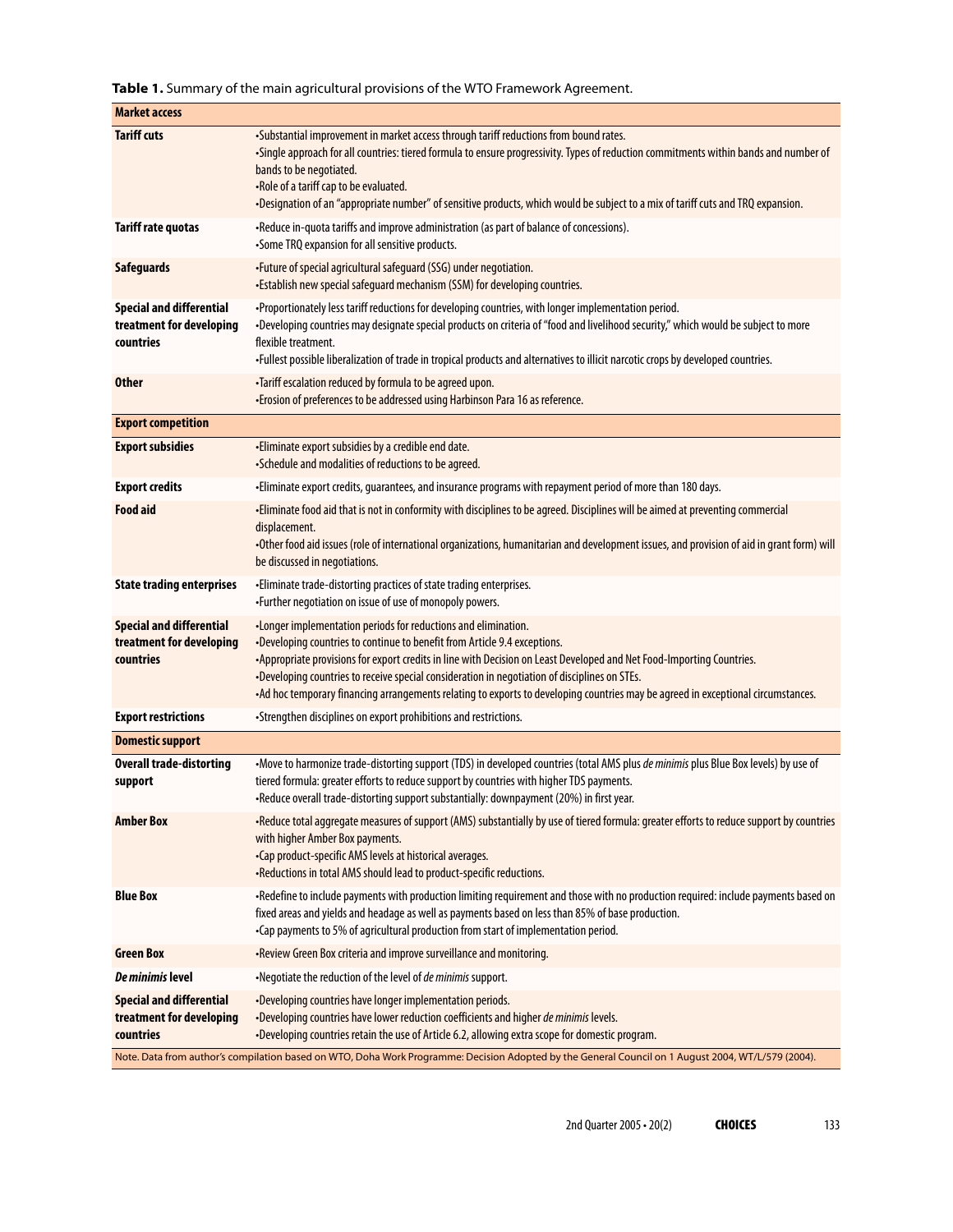**Table 1.** Summary of the main agricultural provisions of the WTO Framework Agreement.

| <b>Market access</b>                                                                                                                               |                                                                                                                                                                                                                                                                                                                                                                                                                                                                                                           |
|----------------------------------------------------------------------------------------------------------------------------------------------------|-----------------------------------------------------------------------------------------------------------------------------------------------------------------------------------------------------------------------------------------------------------------------------------------------------------------------------------------------------------------------------------------------------------------------------------------------------------------------------------------------------------|
| <b>Tariff cuts</b>                                                                                                                                 | -Substantial improvement in market access through tariff reductions from bound rates.<br>-Single approach for all countries: tiered formula to ensure progressivity. Types of reduction commitments within bands and number of<br>bands to be negotiated.<br>-Role of a tariff cap to be evaluated.<br>-Designation of an "appropriate number" of sensitive products, which would be subject to a mix of tariff cuts and TRQ expansion.                                                                   |
| <b>Tariff rate quotas</b>                                                                                                                          | -Reduce in-quota tariffs and improve administration (as part of balance of concessions).<br>•Some TRQ expansion for all sensitive products.                                                                                                                                                                                                                                                                                                                                                               |
| <b>Safeguards</b>                                                                                                                                  | -Future of special agricultural safeguard (SSG) under negotiation.<br>•Establish new special safeguard mechanism (SSM) for developing countries.                                                                                                                                                                                                                                                                                                                                                          |
| <b>Special and differential</b><br>treatment for developing<br>countries                                                                           | -Proportionately less tariff reductions for developing countries, with longer implementation period.<br>-Developing countries may designate special products on criteria of "food and livelihood security," which would be subject to more<br>flexible treatment.<br>-Fullest possible liberalization of trade in tropical products and alternatives to illicit narcotic crops by developed countries.                                                                                                    |
| <b>Other</b>                                                                                                                                       | .Tariff escalation reduced by formula to be agreed upon.<br>• Erosion of preferences to be addressed using Harbinson Para 16 as reference.                                                                                                                                                                                                                                                                                                                                                                |
| <b>Export competition</b>                                                                                                                          |                                                                                                                                                                                                                                                                                                                                                                                                                                                                                                           |
| <b>Export subsidies</b>                                                                                                                            | -Eliminate export subsidies by a credible end date.<br>•Schedule and modalities of reductions to be agreed.                                                                                                                                                                                                                                                                                                                                                                                               |
| <b>Export credits</b>                                                                                                                              | -Eliminate export credits, guarantees, and insurance programs with repayment period of more than 180 days.                                                                                                                                                                                                                                                                                                                                                                                                |
| <b>Food aid</b>                                                                                                                                    | -Eliminate food aid that is not in conformity with disciplines to be agreed. Disciplines will be aimed at preventing commercial<br>displacement.<br>-Other food aid issues (role of international organizations, humanitarian and development issues, and provision of aid in grant form) will<br>be discussed in negotiations.                                                                                                                                                                           |
| <b>State trading enterprises</b>                                                                                                                   | -Eliminate trade-distorting practices of state trading enterprises.<br>-Further negotiation on issue of use of monopoly powers.                                                                                                                                                                                                                                                                                                                                                                           |
| <b>Special and differential</b><br>treatment for developing<br>countries                                                                           | •Longer implementation periods for reductions and elimination.<br>•Developing countries to continue to benefit from Article 9.4 exceptions.<br>•Appropriate provisions for export credits in line with Decision on Least Developed and Net Food-Importing Countries.<br>-Developing countries to receive special consideration in negotiation of disciplines on STEs.<br>-Ad hoc temporary financing arrangements relating to exports to developing countries may be agreed in exceptional circumstances. |
| <b>Export restrictions</b>                                                                                                                         | •Strengthen disciplines on export prohibitions and restrictions.                                                                                                                                                                                                                                                                                                                                                                                                                                          |
| <b>Domestic support</b>                                                                                                                            |                                                                                                                                                                                                                                                                                                                                                                                                                                                                                                           |
| <b>Overall trade-distorting</b><br>support                                                                                                         | -Move to harmonize trade-distorting support (TDS) in developed countries (total AMS plus de minimis plus Blue Box levels) by use of<br>tiered formula: greater efforts to reduce support by countries with higher TDS payments.<br>-Reduce overall trade-distorting support substantially: downpayment (20%) in first year.                                                                                                                                                                               |
| <b>Amber Box</b>                                                                                                                                   | -Reduce total aggregate measures of support (AMS) substantially by use of tiered formula: greater efforts to reduce support by countries<br>with higher Amber Box payments.<br>-Cap product-specific AMS levels at historical averages.<br>-Reductions in total AMS should lead to product-specific reductions.                                                                                                                                                                                           |
| <b>Blue Box</b>                                                                                                                                    | -Redefine to include payments with production limiting requirement and those with no production required: include payments based on<br>fixed areas and yields and headage as well as payments based on less than 85% of base production.<br>•Cap payments to 5% of agricultural production from start of implementation period.                                                                                                                                                                           |
| <b>Green Box</b>                                                                                                                                   | -Review Green Box criteria and improve surveillance and monitoring.                                                                                                                                                                                                                                                                                                                                                                                                                                       |
| De minimis level                                                                                                                                   | •Negotiate the reduction of the level of de minimis support.                                                                                                                                                                                                                                                                                                                                                                                                                                              |
| <b>Special and differential</b><br>treatment for developing<br>countries                                                                           | -Developing countries have longer implementation periods.<br>-Developing countries have lower reduction coefficients and higher de minimis levels.<br>-Developing countries retain the use of Article 6.2, allowing extra scope for domestic program.                                                                                                                                                                                                                                                     |
| Note. Data from author's compilation based on WTO, Doha Work Programme: Decision Adopted by the General Council on 1 August 2004, WT/L/579 (2004). |                                                                                                                                                                                                                                                                                                                                                                                                                                                                                                           |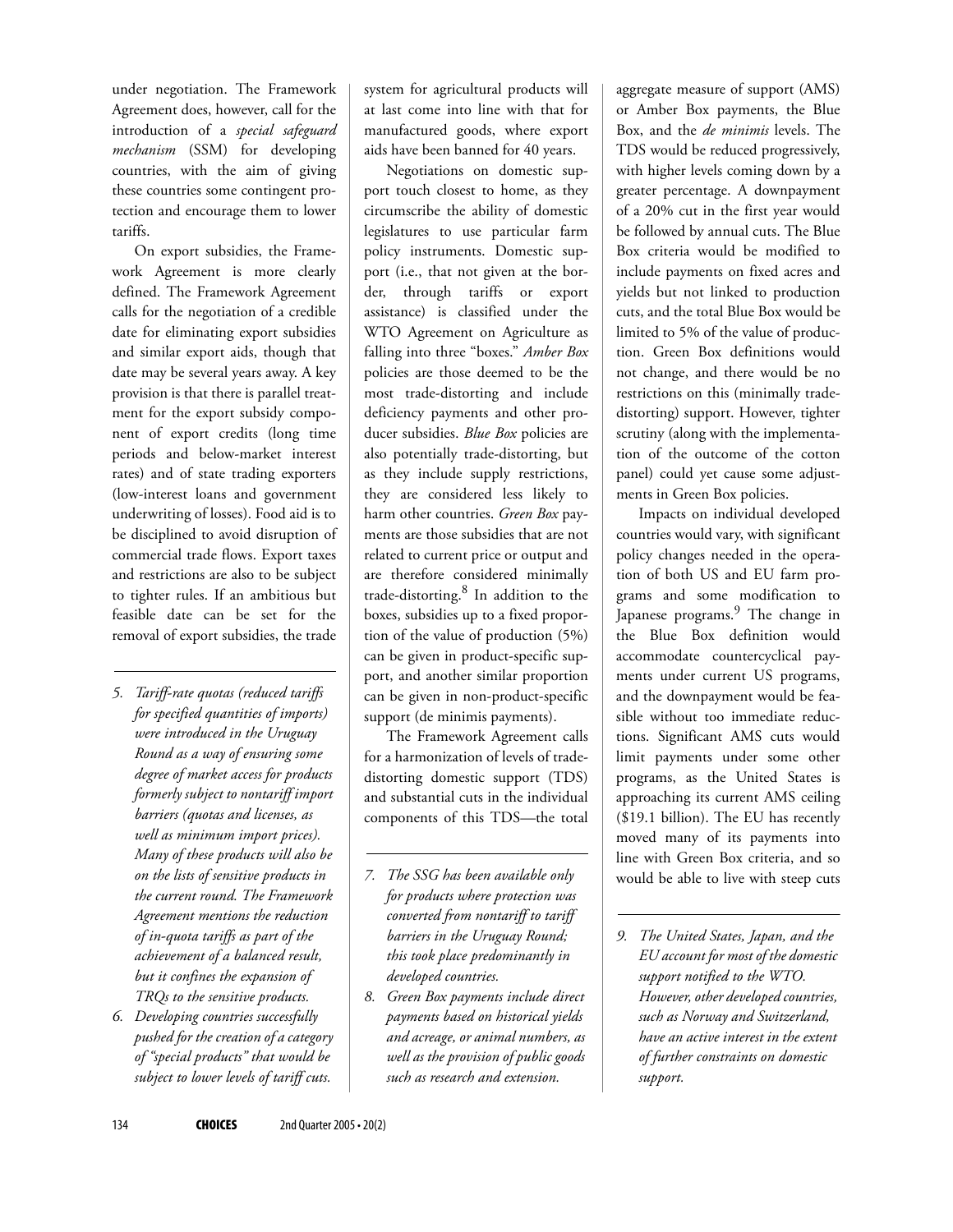under negotiation. The Framework Agreement does, however, call for the introduction of a *special safeguard mechanism* (SSM) for developing countries, with the aim of giving these countries some contingent protection and encourage them to lower tariffs.

On export subsidies, the Framework Agreement is more clearly defined. The Framework Agreement calls for the negotiation of a credible date for eliminating export subsidies and similar export aids, though that date may be several years away. A key provision is that there is parallel treatment for the export subsidy component of export credits (long time periods and below-market interest rates) and of state trading exporters (low-interest loans and government underwriting of losses). Food aid is to be disciplined to avoid disruption of commercial trade flows. Export taxes and restrictions are also to be subject to tighter rules. If an ambitious but feasible date can be set for the removal of export subsidies, the trade

- *5. Tariff-rate quotas (reduced tariffs for specified quantities of imports) were introduced in the Uruguay Round as a way of ensuring some degree of market access for products formerly subject to nontariff import barriers (quotas and licenses, as well as minimum import prices). Many of these products will also be on the lists of sensitive products in the current round. The Framework Agreement mentions the reduction of in-quota tariffs as part of the achievement of a balanced result, but it confines the expansion of TRQs to the sensitive products.*
- *6. Developing countries successfully pushed for the creation of a category of "special products" that would be subject to lower levels of tariff cuts.*

system for agricultural products will at last come into line with that for manufactured goods, where export aids have been banned for 40 years.

Negotiations on domestic support touch closest to home, as they circumscribe the ability of domestic legislatures to use particular farm policy instruments. Domestic support (i.e., that not given at the border, through tariffs or export assistance) is classified under the WTO Agreement on Agriculture as falling into three "boxes." *Amber Box* policies are those deemed to be the most trade-distorting and include deficiency payments and other producer subsidies. *Blue Box* policies are also potentially trade-distorting, but as they include supply restrictions, they are considered less likely to harm other countries. *Green Box* payments are those subsidies that are not related to current price or output and are therefore considered minimally trade-distorting.<sup>8</sup> In addition to the boxes, subsidies up to a fixed proportion of the value of production (5%) can be given in product-specific support, and another similar proportion can be given in non-product-specific support (de minimis payments).

The Framework Agreement calls for a harmonization of levels of tradedistorting domestic support (TDS) and substantial cuts in the individual components of this TDS—the total

- *7. The SSG has been available only for products where protection was converted from nontariff to tariff barriers in the Uruguay Round; this took place predominantly in developed countries.*
- *8. Green Box payments include direct payments based on historical yields and acreage, or animal numbers, as well as the provision of public goods such as research and extension.*

aggregate measure of support (AMS) or Amber Box payments, the Blue Box, and the *de minimis* levels. The TDS would be reduced progressively, with higher levels coming down by a greater percentage. A downpayment of a 20% cut in the first year would be followed by annual cuts. The Blue Box criteria would be modified to include payments on fixed acres and yields but not linked to production cuts, and the total Blue Box would be limited to 5% of the value of production. Green Box definitions would not change, and there would be no restrictions on this (minimally tradedistorting) support. However, tighter scrutiny (along with the implementation of the outcome of the cotton panel) could yet cause some adjustments in Green Box policies.

Impacts on individual developed countries would vary, with significant policy changes needed in the operation of both US and EU farm programs and some modification to Japanese programs.<sup>9</sup> The change in the Blue Box definition would accommodate countercyclical payments under current US programs, and the downpayment would be feasible without too immediate reductions. Significant AMS cuts would limit payments under some other programs, as the United States is approaching its current AMS ceiling (\$19.1 billion). The EU has recently moved many of its payments into line with Green Box criteria, and so would be able to live with steep cuts

*9. The United States, Japan, and the EU account for most of the domestic support notified to the WTO. However, other developed countries, such as Norway and Switzerland, have an active interest in the extent of further constraints on domestic support.*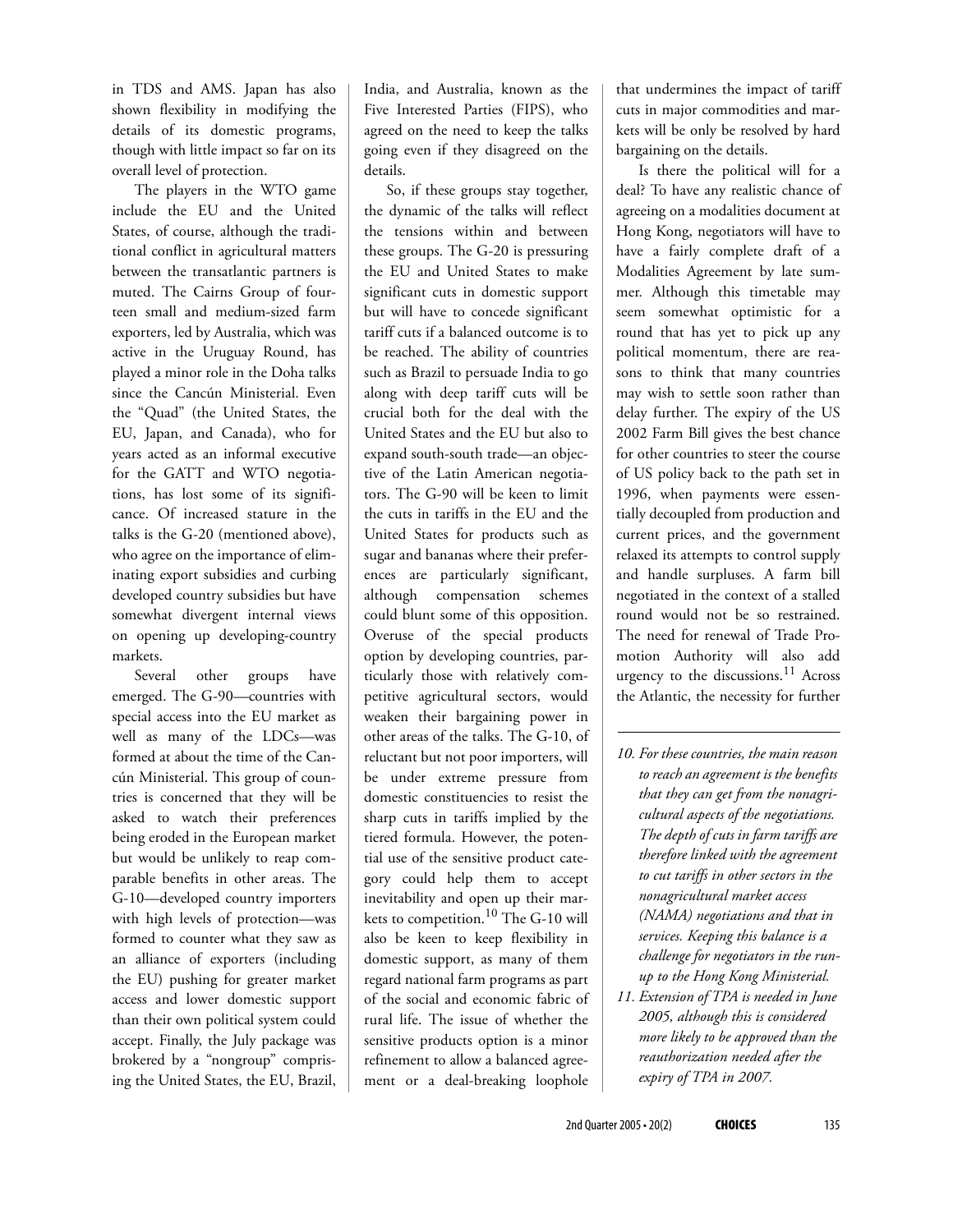in TDS and AMS. Japan has also shown flexibility in modifying the details of its domestic programs, though with little impact so far on its overall level of protection.

The players in the WTO game include the EU and the United States, of course, although the traditional conflict in agricultural matters between the transatlantic partners is muted. The Cairns Group of fourteen small and medium-sized farm exporters, led by Australia, which was active in the Uruguay Round, has played a minor role in the Doha talks since the Cancún Ministerial. Even the "Quad" (the United States, the EU, Japan, and Canada), who for years acted as an informal executive for the GATT and WTO negotiations, has lost some of its significance. Of increased stature in the talks is the G-20 (mentioned above), who agree on the importance of eliminating export subsidies and curbing developed country subsidies but have somewhat divergent internal views on opening up developing-country markets.

Several other groups have emerged. The G-90—countries with special access into the EU market as well as many of the LDCs—was formed at about the time of the Cancún Ministerial. This group of countries is concerned that they will be asked to watch their preferences being eroded in the European market but would be unlikely to reap comparable benefits in other areas. The G-10—developed country importers with high levels of protection—was formed to counter what they saw as an alliance of exporters (including the EU) pushing for greater market access and lower domestic support than their own political system could accept. Finally, the July package was brokered by a "nongroup" comprising the United States, the EU, Brazil,

India, and Australia, known as the Five Interested Parties (FIPS), who agreed on the need to keep the talks going even if they disagreed on the details.

So, if these groups stay together, the dynamic of the talks will reflect the tensions within and between these groups. The G-20 is pressuring the EU and United States to make significant cuts in domestic support but will have to concede significant tariff cuts if a balanced outcome is to be reached. The ability of countries such as Brazil to persuade India to go along with deep tariff cuts will be crucial both for the deal with the United States and the EU but also to expand south-south trade—an objective of the Latin American negotiators. The G-90 will be keen to limit the cuts in tariffs in the EU and the United States for products such as sugar and bananas where their preferences are particularly significant, although compensation schemes could blunt some of this opposition. Overuse of the special products option by developing countries, particularly those with relatively competitive agricultural sectors, would weaken their bargaining power in other areas of the talks. The G-10, of reluctant but not poor importers, will be under extreme pressure from domestic constituencies to resist the sharp cuts in tariffs implied by the tiered formula. However, the potential use of the sensitive product category could help them to accept inevitability and open up their markets to competition.<sup>10</sup> The G-10 will also be keen to keep flexibility in domestic support, as many of them regard national farm programs as part of the social and economic fabric of rural life. The issue of whether the sensitive products option is a minor refinement to allow a balanced agreement or a deal-breaking loophole

that undermines the impact of tariff cuts in major commodities and markets will be only be resolved by hard bargaining on the details.

Is there the political will for a deal? To have any realistic chance of agreeing on a modalities document at Hong Kong, negotiators will have to have a fairly complete draft of a Modalities Agreement by late summer. Although this timetable may seem somewhat optimistic for a round that has yet to pick up any political momentum, there are reasons to think that many countries may wish to settle soon rather than delay further. The expiry of the US 2002 Farm Bill gives the best chance for other countries to steer the course of US policy back to the path set in 1996, when payments were essentially decoupled from production and current prices, and the government relaxed its attempts to control supply and handle surpluses. A farm bill negotiated in the context of a stalled round would not be so restrained. The need for renewal of Trade Promotion Authority will also add urgency to the discussions. $11$  Across the Atlantic, the necessity for further

- *10. For these countries, the main reason to reach an agreement is the benefits that they can get from the nonagricultural aspects of the negotiations. The depth of cuts in farm tariffs are therefore linked with the agreement to cut tariffs in other sectors in the nonagricultural market access (NAMA) negotiations and that in services. Keeping this balance is a challenge for negotiators in the runup to the Hong Kong Ministerial.*
- *11. Extension of TPA is needed in June 2005, although this is considered more likely to be approved than the reauthorization needed after the expiry of TPA in 2007.*